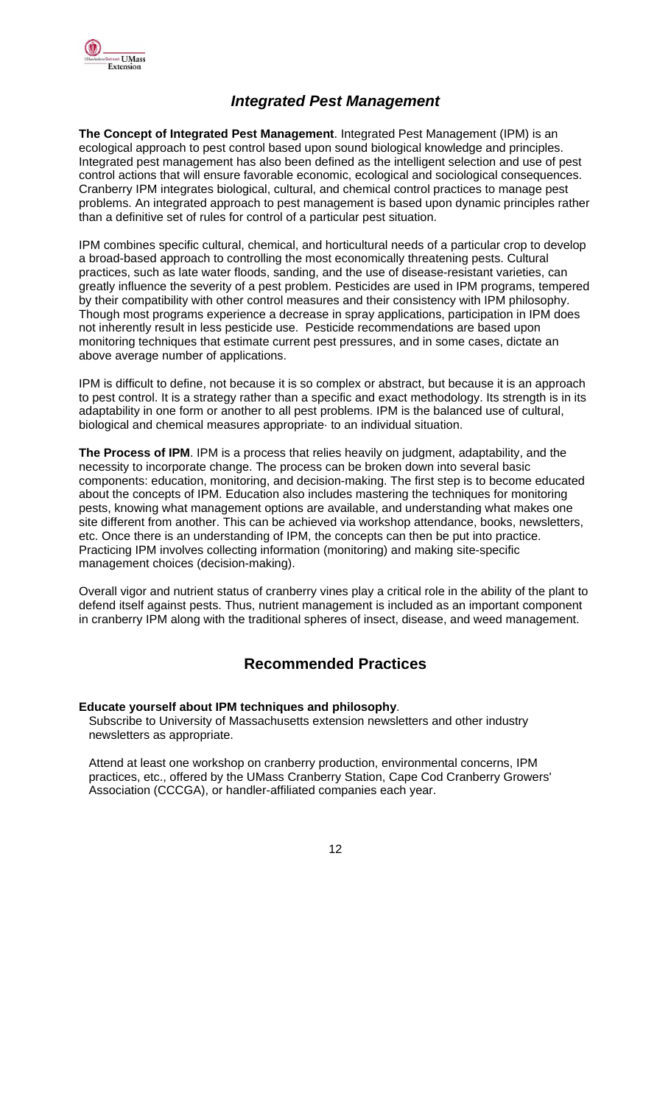

# *Integrated Pest Management*

**The Concept of Integrated Pest Management**. Integrated Pest Management (IPM) is an ecological approach to pest control based upon sound biological knowledge and principles. Integrated pest management has also been defined as the intelligent selection and use of pest control actions that will ensure favorable economic, ecological and sociological consequences. Cranberry IPM integrates biological, cultural, and chemical control practices to manage pest problems. An integrated approach to pest management is based upon dynamic principles rather than a definitive set of rules for control of a particular pest situation.

IPM combines specific cultural, chemical, and horticultural needs of a particular crop to develop a broad-based approach to controlling the most economically threatening pests. Cultural practices, such as late water floods, sanding, and the use of disease-resistant varieties, can greatly influence the severity of a pest problem. Pesticides are used in IPM programs, tempered by their compatibility with other control measures and their consistency with IPM philosophy. Though most programs experience a decrease in spray applications, participation in IPM does not inherently result in less pesticide use. Pesticide recommendations are based upon monitoring techniques that estimate current pest pressures, and in some cases, dictate an above average number of applications.

IPM is difficult to define, not because it is so complex or abstract, but because it is an approach to pest control. It is a strategy rather than a specific and exact methodology. Its strength is in its adaptability in one form or another to all pest problems. IPM is the balanced use of cultural, biological and chemical measures appropriate· to an individual situation.

**The Process of IPM**. IPM is a process that relies heavily on judgment, adaptability, and the necessity to incorporate change. The process can be broken down into several basic components: education, monitoring, and decision-making. The first step is to become educated about the concepts of IPM. Education also includes mastering the techniques for monitoring pests, knowing what management options are available, and understanding what makes one site different from another. This can be achieved via workshop attendance, books, newsletters, etc. Once there is an understanding of IPM, the concepts can then be put into practice. Practicing IPM involves collecting information (monitoring) and making site-specific management choices (decision-making).

Overall vigor and nutrient status of cranberry vines play a critical role in the ability of the plant to defend itself against pests. Thus, nutrient management is included as an important component in cranberry IPM along with the traditional spheres of insect, disease, and weed management.

# **Recommended Practices**

### **Educate yourself about IPM techniques and philosophy**.

Subscribe to University of Massachusetts extension newsletters and other industry newsletters as appropriate.

Attend at least one workshop on cranberry production, environmental concerns, IPM practices, etc., offered by the UMass Cranberry Station, Cape Cod Cranberry Growers' Association (CCCGA), or handler-affiliated companies each year.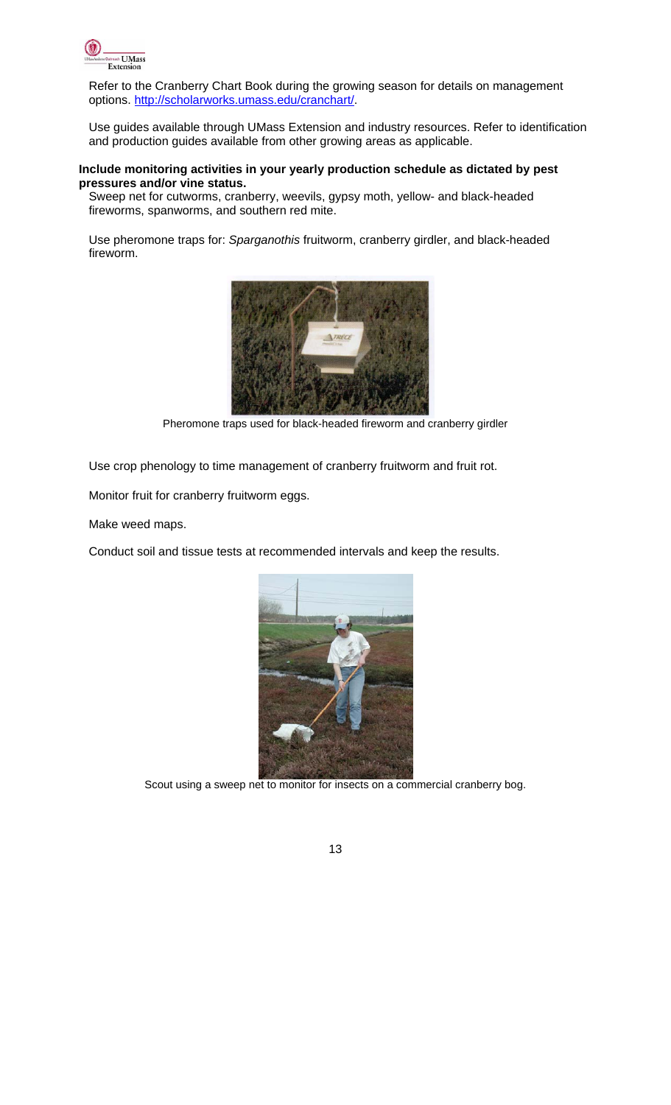

Refer to the Cranberry Chart Book during the growing season for details on management options. http://scholarworks.umass.edu/cranchart/.

Use guides available through UMass Extension and industry resources. Refer to identification and production guides available from other growing areas as applicable.

#### **Include monitoring activities in your yearly production schedule as dictated by pest pressures and/or vine status.**

Sweep net for cutworms, cranberry, weevils, gypsy moth, yellow- and black-headed fireworms, spanworms, and southern red mite.

Use pheromone traps for: *Sparganothis* fruitworm, cranberry girdler, and black-headed fireworm.



Pheromone traps used for black-headed fireworm and cranberry girdler

Use crop phenology to time management of cranberry fruitworm and fruit rot.

Monitor fruit for cranberry fruitworm eggs.

Make weed maps.

Conduct soil and tissue tests at recommended intervals and keep the results.



Scout using a sweep net to monitor for insects on a commercial cranberry bog.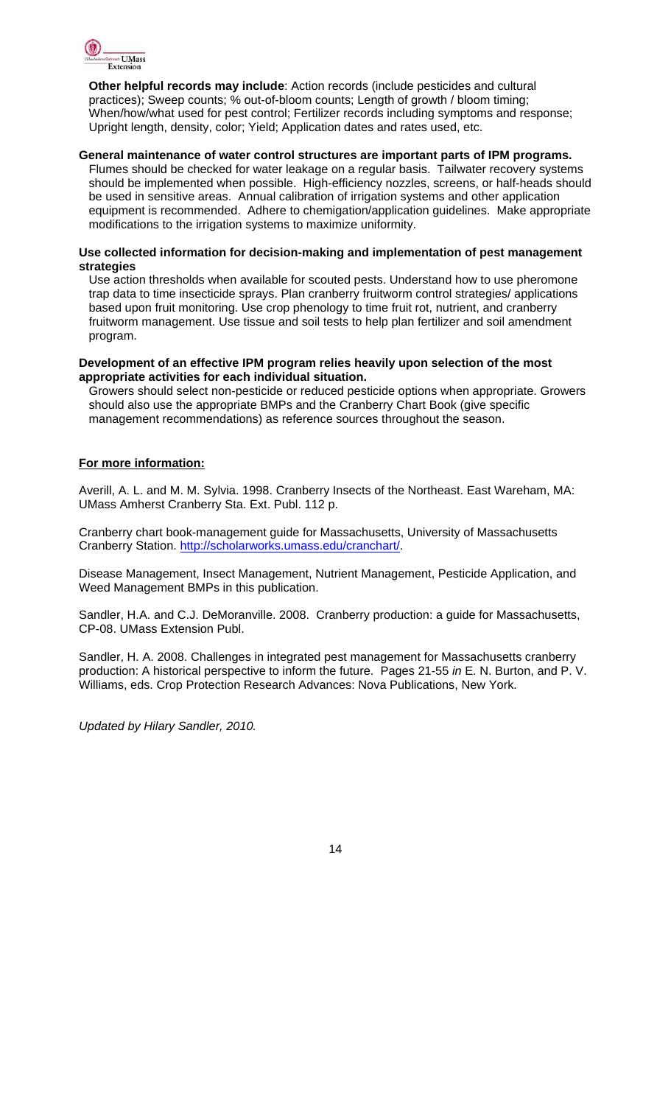

**Other helpful records may include**: Action records (include pesticides and cultural practices); Sweep counts; % out-of-bloom counts; Length of growth / bloom timing; When/how/what used for pest control; Fertilizer records including symptoms and response; Upright length, density, color; Yield; Application dates and rates used, etc.

#### **General maintenance of water control structures are important parts of IPM programs.**

Flumes should be checked for water leakage on a regular basis. Tailwater recovery systems should be implemented when possible. High-efficiency nozzles, screens, or half-heads should be used in sensitive areas. Annual calibration of irrigation systems and other application equipment is recommended. Adhere to chemigation/application guidelines. Make appropriate modifications to the irrigation systems to maximize uniformity.

#### **Use collected information for decision-making and implementation of pest management strategies**

Use action thresholds when available for scouted pests. Understand how to use pheromone trap data to time insecticide sprays. Plan cranberry fruitworm control strategies/ applications based upon fruit monitoring. Use crop phenology to time fruit rot, nutrient, and cranberry fruitworm management. Use tissue and soil tests to help plan fertilizer and soil amendment program.

#### **Development of an effective IPM program relies heavily upon selection of the most appropriate activities for each individual situation.**

Growers should select non-pesticide or reduced pesticide options when appropriate. Growers should also use the appropriate BMPs and the Cranberry Chart Book (give specific management recommendations) as reference sources throughout the season.

## **For more information:**

Averill, A. L. and M. M. Sylvia. 1998. Cranberry Insects of the Northeast. East Wareham, MA: UMass Amherst Cranberry Sta. Ext. Publ. 112 p.

Cranberry chart book-management guide for Massachusetts, University of Massachusetts Cranberry Station. http://scholarworks.umass.edu/cranchart/.

Disease Management, Insect Management, Nutrient Management, Pesticide Application, and Weed Management BMPs in this publication.

Sandler, H.A. and C.J. DeMoranville. 2008. Cranberry production: a guide for Massachusetts, CP-08. UMass Extension Publ.

Sandler, H. A. 2008. Challenges in integrated pest management for Massachusetts cranberry production: A historical perspective to inform the future. Pages 21-55 *in* E. N. Burton, and P. V. Williams, eds. Crop Protection Research Advances: Nova Publications, New York.

*Updated by Hilary Sandler, 2010.*